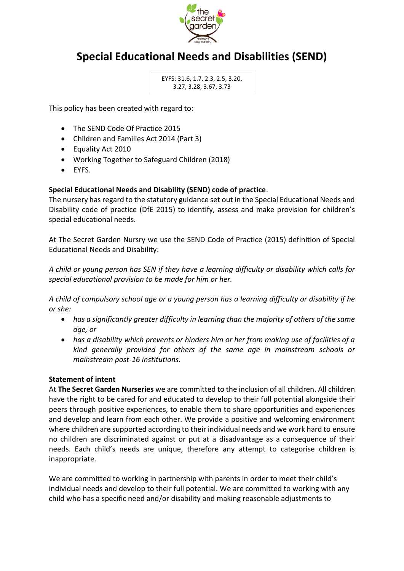

# **Special Educational Needs and Disabilities (SEND)**

EYFS: 31.6, 1.7, 2.3, 2.5, 3.20, 3.27, 3.28, 3.67, 3.73

This policy has been created with regard to:

- The SEND Code Of Practice 2015
- Children and Families Act 2014 (Part 3)
- Equality Act 2010
- Working Together to Safeguard Children (2018)
- EYFS.

### **Special Educational Needs and Disability (SEND) code of practice**.

The nursery has regard to the statutory guidance set out in the Special Educational Needs and Disability code of practice (DfE 2015) to identify, assess and make provision for children's special educational needs.

At The Secret Garden Nursry we use the SEND Code of Practice (2015) definition of Special Educational Needs and Disability:

*A child or young person has SEN if they have a learning difficulty or disability which calls for special educational provision to be made for him or her.*

*A child of compulsory school age or a young person has a learning difficulty or disability if he or she:*

- *has a significantly greater difficulty in learning than the majority of others of the same age, or*
- *has a disability which prevents or hinders him or her from making use of facilities of a kind generally provided for others of the same age in mainstream schools or mainstream post-16 institutions.*

#### **Statement of intent**

At **The Secret Garden Nurseries** we are committed to the inclusion of all children. All children have the right to be cared for and educated to develop to their full potential alongside their peers through positive experiences, to enable them to share opportunities and experiences and develop and learn from each other. We provide a positive and welcoming environment where children are supported according to their individual needs and we work hard to ensure no children are discriminated against or put at a disadvantage as a consequence of their needs. Each child's needs are unique, therefore any attempt to categorise children is inappropriate.

We are committed to working in partnership with parents in order to meet their child's individual needs and develop to their full potential. We are committed to working with any child who has a specific need and/or disability and making reasonable adjustments to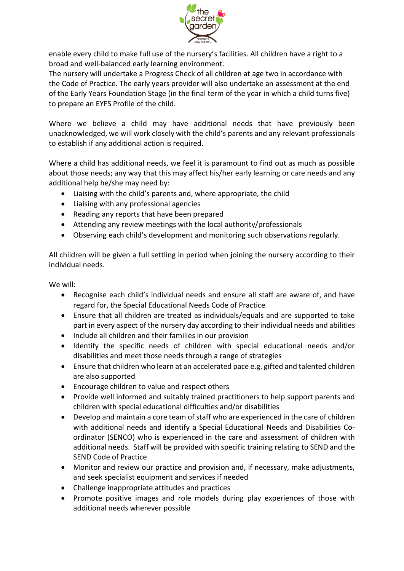

enable every child to make full use of the nursery's facilities. All children have a right to a broad and well-balanced early learning environment.

The nursery will undertake a Progress Check of all children at age two in accordance with the Code of Practice. The early years provider will also undertake an assessment at the end of the Early Years Foundation Stage (in the final term of the year in which a child turns five) to prepare an EYFS Profile of the child.

Where we believe a child may have additional needs that have previously been unacknowledged, we will work closely with the child's parents and any relevant professionals to establish if any additional action is required.

Where a child has additional needs, we feel it is paramount to find out as much as possible about those needs; any way that this may affect his/her early learning or care needs and any additional help he/she may need by:

- Liaising with the child's parents and, where appropriate, the child
- Liaising with any professional agencies
- Reading any reports that have been prepared
- Attending any review meetings with the local authority/professionals
- Observing each child's development and monitoring such observations regularly.

All children will be given a full settling in period when joining the nursery according to their individual needs.

We will:

- Recognise each child's individual needs and ensure all staff are aware of, and have regard for, the Special Educational Needs Code of Practice
- Ensure that all children are treated as individuals/equals and are supported to take part in every aspect of the nursery day according to their individual needs and abilities
- Include all children and their families in our provision
- Identify the specific needs of children with special educational needs and/or disabilities and meet those needs through a range of strategies
- Ensure that children who learn at an accelerated pace e.g. gifted and talented children are also supported
- Encourage children to value and respect others
- Provide well informed and suitably trained practitioners to help support parents and children with special educational difficulties and/or disabilities
- Develop and maintain a core team of staff who are experienced in the care of children with additional needs and identify a Special Educational Needs and Disabilities Coordinator (SENCO) who is experienced in the care and assessment of children with additional needs. Staff will be provided with specific training relating to SEND and the SEND Code of Practice
- Monitor and review our practice and provision and, if necessary, make adjustments, and seek specialist equipment and services if needed
- Challenge inappropriate attitudes and practices
- Promote positive images and role models during play experiences of those with additional needs wherever possible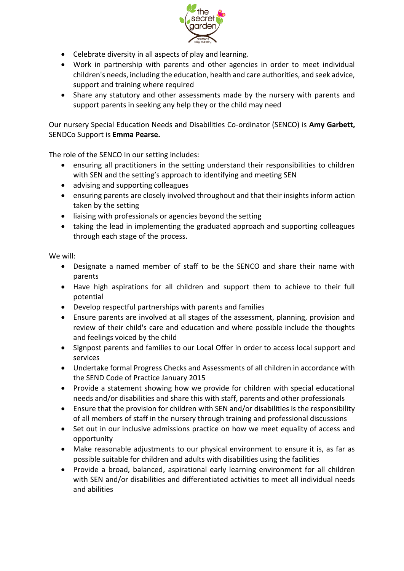

- Celebrate diversity in all aspects of play and learning.
- Work in partnership with parents and other agencies in order to meet individual children's needs, including the education, health and care authorities, and seek advice, support and training where required
- Share any statutory and other assessments made by the nursery with parents and support parents in seeking any help they or the child may need

Our nursery Special Education Needs and Disabilities Co-ordinator (SENCO) is **Amy Garbett,**  SENDCo Support is **Emma Pearse.** 

The role of the SENCO In our setting includes:

- ensuring all practitioners in the setting understand their responsibilities to children with SEN and the setting's approach to identifying and meeting SEN
- advising and supporting colleagues
- ensuring parents are closely involved throughout and that their insights inform action taken by the setting
- liaising with professionals or agencies beyond the setting
- taking the lead in implementing the graduated approach and supporting colleagues through each stage of the process.

We will:

- Designate a named member of staff to be the SENCO and share their name with parents
- Have high aspirations for all children and support them to achieve to their full potential
- Develop respectful partnerships with parents and families
- Ensure parents are involved at all stages of the assessment, planning, provision and review of their child's care and education and where possible include the thoughts and feelings voiced by the child
- Signpost parents and families to our Local Offer in order to access local support and services
- Undertake formal Progress Checks and Assessments of all children in accordance with the SEND Code of Practice January 2015
- Provide a statement showing how we provide for children with special educational needs and/or disabilities and share this with staff, parents and other professionals
- Ensure that the provision for children with SEN and/or disabilities is the responsibility of all members of staff in the nursery through training and professional discussions
- Set out in our inclusive admissions practice on how we meet equality of access and opportunity
- Make reasonable adjustments to our physical environment to ensure it is, as far as possible suitable for children and adults with disabilities using the facilities
- Provide a broad, balanced, aspirational early learning environment for all children with SEN and/or disabilities and differentiated activities to meet all individual needs and abilities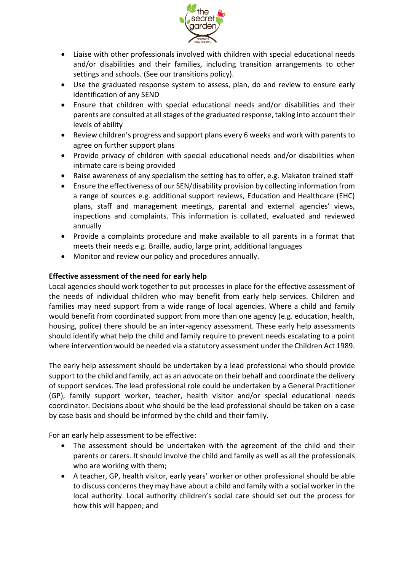

- Liaise with other professionals involved with children with special educational needs and/or disabilities and their families, including transition arrangements to other settings and schools. (See our transitions policy).
- Use the graduated response system to assess, plan, do and review to ensure early identification of any SEND
- Ensure that children with special educational needs and/or disabilities and their parents are consulted at all stages of the graduated response, taking into account their levels of ability
- Review children's progress and support plans every 6 weeks and work with parents to agree on further support plans
- Provide privacy of children with special educational needs and/or disabilities when intimate care is being provided
- Raise awareness of any specialism the setting has to offer, e.g. Makaton trained staff
- Ensure the effectiveness of our SEN/disability provision by collecting information from a range of sources e.g. additional support reviews, Education and Healthcare (EHC) plans, staff and management meetings, parental and external agencies' views, inspections and complaints. This information is collated, evaluated and reviewed annually
- Provide a complaints procedure and make available to all parents in a format that meets their needs e.g. Braille, audio, large print, additional languages
- Monitor and review our policy and procedures annually.

## **Effective assessment of the need for early help**

Local agencies should work together to put processes in place for the effective assessment of the needs of individual children who may benefit from early help services. Children and families may need support from a wide range of local agencies. Where a child and family would benefit from coordinated support from more than one agency (e.g. education, health, housing, police) there should be an inter-agency assessment. These early help assessments should identify what help the child and family require to prevent needs escalating to a point where intervention would be needed via a statutory assessment under the Children Act 1989.

The early help assessment should be undertaken by a lead professional who should provide support to the child and family, act as an advocate on their behalf and coordinate the delivery of support services. The lead professional role could be undertaken by a General Practitioner (GP), family support worker, teacher, health visitor and/or special educational needs coordinator. Decisions about who should be the lead professional should be taken on a case by case basis and should be informed by the child and their family.

For an early help assessment to be effective:

- The assessment should be undertaken with the agreement of the child and their parents or carers. It should involve the child and family as well as all the professionals who are working with them;
- A teacher, GP, health visitor, early years' worker or other professional should be able to discuss concerns they may have about a child and family with a social worker in the local authority. Local authority children's social care should set out the process for how this will happen; and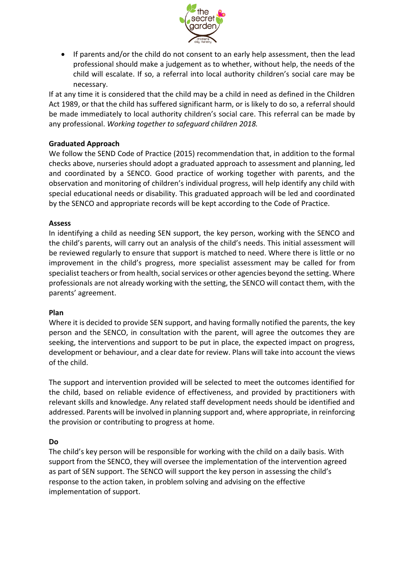

• If parents and/or the child do not consent to an early help assessment, then the lead professional should make a judgement as to whether, without help, the needs of the child will escalate. If so, a referral into local authority children's social care may be necessary.

If at any time it is considered that the child may be a child in need as defined in the Children Act 1989, or that the child has suffered significant harm, or is likely to do so, a referral should be made immediately to local authority children's social care. This referral can be made by any professional. *Working together to safeguard children 2018.*

## **Graduated Approach**

We follow the SEND Code of Practice (2015) recommendation that, in addition to the formal checks above, nurseries should adopt a graduated approach to assessment and planning, led and coordinated by a SENCO. Good practice of working together with parents, and the observation and monitoring of children's individual progress, will help identify any child with special educational needs or disability. This graduated approach will be led and coordinated by the SENCO and appropriate records will be kept according to the Code of Practice.

#### **Assess**

In identifying a child as needing SEN support, the key person, working with the SENCO and the child's parents, will carry out an analysis of the child's needs. This initial assessment will be reviewed regularly to ensure that support is matched to need. Where there is little or no improvement in the child's progress, more specialist assessment may be called for from specialist teachers or from health, social services or other agencies beyond the setting. Where professionals are not already working with the setting, the SENCO will contact them, with the parents' agreement.

#### **Plan**

Where it is decided to provide SEN support, and having formally notified the parents, the key person and the SENCO, in consultation with the parent, will agree the outcomes they are seeking, the interventions and support to be put in place, the expected impact on progress, development or behaviour, and a clear date for review. Plans will take into account the views of the child.

The support and intervention provided will be selected to meet the outcomes identified for the child, based on reliable evidence of effectiveness, and provided by practitioners with relevant skills and knowledge. Any related staff development needs should be identified and addressed. Parents will be involved in planning support and, where appropriate, in reinforcing the provision or contributing to progress at home.

#### **Do**

The child's key person will be responsible for working with the child on a daily basis. With support from the SENCO, they will oversee the implementation of the intervention agreed as part of SEN support. The SENCO will support the key person in assessing the child's response to the action taken, in problem solving and advising on the effective implementation of support.